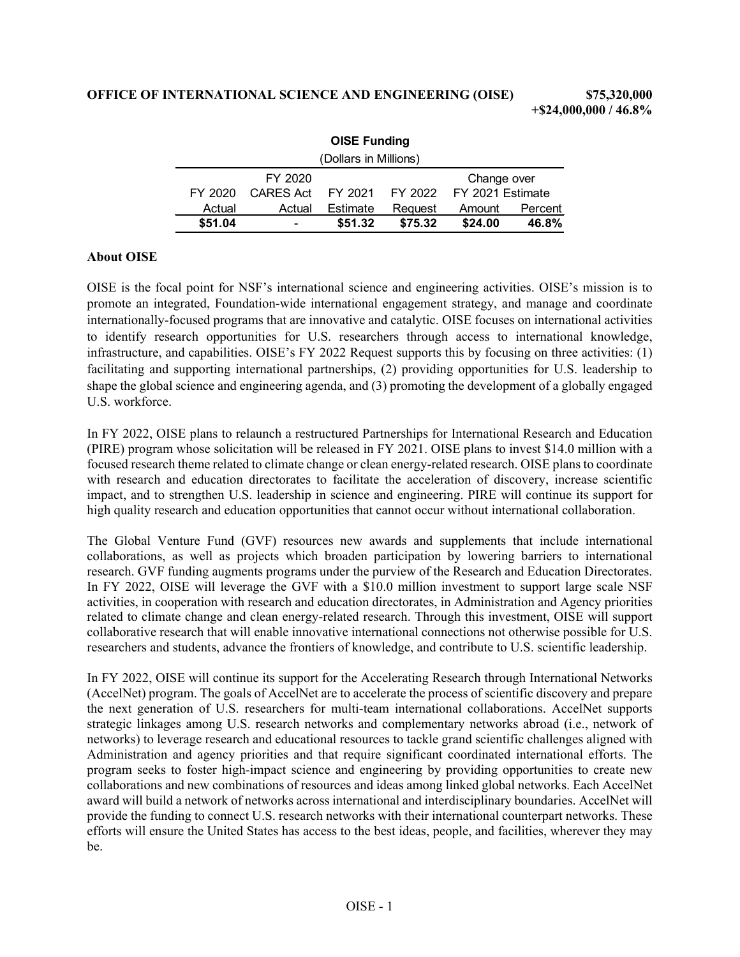| <b>OISE Funding</b>   |                  |          |         |                                  |         |  |  |
|-----------------------|------------------|----------|---------|----------------------------------|---------|--|--|
| (Dollars in Millions) |                  |          |         |                                  |         |  |  |
|                       | FY 2020          |          |         | Change over                      |         |  |  |
| FY 2020               | <b>CARES Act</b> |          |         | FY 2021 FY 2022 FY 2021 Estimate |         |  |  |
| Actual                | Actual           | Estimate | Reguest | Amount                           | Percent |  |  |
| \$51.04               | ۰                | \$51.32  | \$75.32 | \$24.00                          | 46.8%   |  |  |

## **About OISE**

OISE is the focal point for NSF's international science and engineering activities. OISE's mission is to promote an integrated, Foundation-wide international engagement strategy, and manage and coordinate internationally-focused programs that are innovative and catalytic. OISE focuses on international activities to identify research opportunities for U.S. researchers through access to international knowledge, infrastructure, and capabilities. OISE's FY 2022 Request supports this by focusing on three activities: (1) facilitating and supporting international partnerships, (2) providing opportunities for U.S. leadership to shape the global science and engineering agenda, and (3) promoting the development of a globally engaged U.S. workforce.

In FY 2022, OISE plans to relaunch a restructured Partnerships for International Research and Education (PIRE) program whose solicitation will be released in FY 2021. OISE plans to invest \$14.0 million with a focused research theme related to climate change or clean energy-related research. OISE plans to coordinate with research and education directorates to facilitate the acceleration of discovery, increase scientific impact, and to strengthen U.S. leadership in science and engineering. PIRE will continue its support for high quality research and education opportunities that cannot occur without international collaboration.

The Global Venture Fund (GVF) resources new awards and supplements that include international collaborations, as well as projects which broaden participation by lowering barriers to international research. GVF funding augments programs under the purview of the Research and Education Directorates. In FY 2022, OISE will leverage the GVF with a \$10.0 million investment to support large scale NSF activities, in cooperation with research and education directorates, in Administration and Agency priorities related to climate change and clean energy-related research. Through this investment, OISE will support collaborative research that will enable innovative international connections not otherwise possible for U.S. researchers and students, advance the frontiers of knowledge, and contribute to U.S. scientific leadership.

In FY 2022, OISE will continue its support for the Accelerating Research through International Networks (AccelNet) program. The goals of AccelNet are to accelerate the process of scientific discovery and prepare the next generation of U.S. researchers for multi-team international collaborations. AccelNet supports strategic linkages among U.S. research networks and complementary networks abroad (i.e., network of networks) to leverage research and educational resources to tackle grand scientific challenges aligned with Administration and agency priorities and that require significant coordinated international efforts. The program seeks to foster high-impact science and engineering by providing opportunities to create new collaborations and new combinations of resources and ideas among linked global networks. Each AccelNet award will build a network of networks across international and interdisciplinary boundaries. AccelNet will provide the funding to connect U.S. research networks with their international counterpart networks. These efforts will ensure the United States has access to the best ideas, people, and facilities, wherever they may be.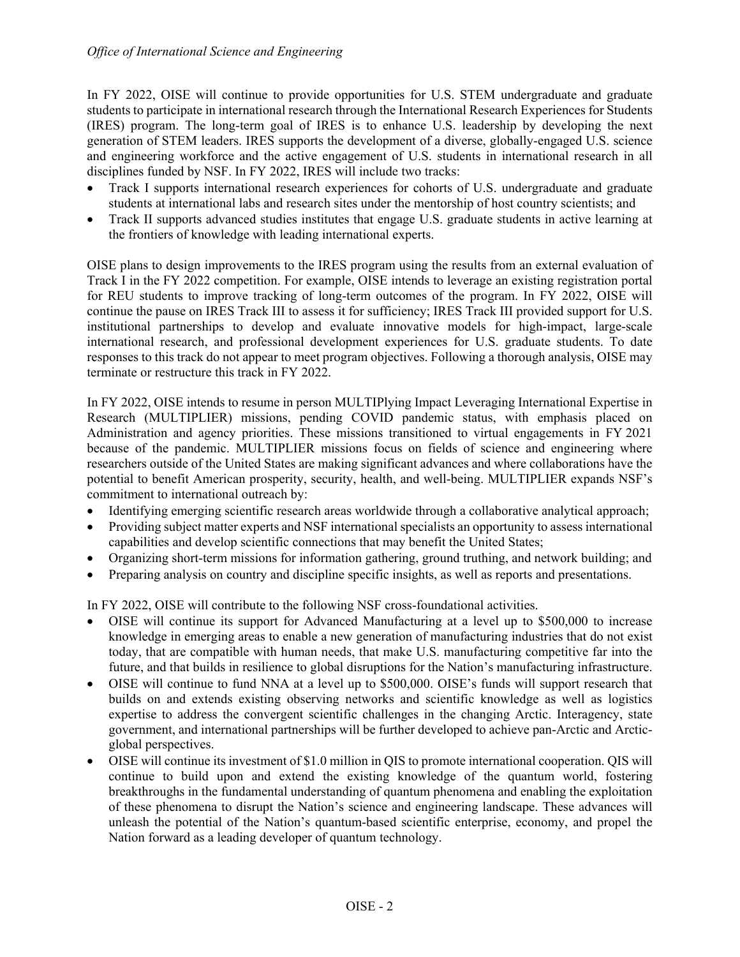In FY 2022, OISE will continue to provide opportunities for U.S. STEM undergraduate and graduate students to participate in international research through the International Research Experiences for Students (IRES) program. The long-term goal of IRES is to enhance U.S. leadership by developing the next generation of STEM leaders. IRES supports the development of a diverse, globally-engaged U.S. science and engineering workforce and the active engagement of U.S. students in international research in all disciplines funded by NSF. In FY 2022, IRES will include two tracks:

- Track I supports international research experiences for cohorts of U.S. undergraduate and graduate students at international labs and research sites under the mentorship of host country scientists; and
- Track II supports advanced studies institutes that engage U.S. graduate students in active learning at the frontiers of knowledge with leading international experts.

OISE plans to design improvements to the IRES program using the results from an external evaluation of Track I in the FY 2022 competition. For example, OISE intends to leverage an existing registration portal for REU students to improve tracking of long-term outcomes of the program. In FY 2022, OISE will continue the pause on IRES Track III to assess it for sufficiency; IRES Track III provided support for U.S. institutional partnerships to develop and evaluate innovative models for high-impact, large-scale international research, and professional development experiences for U.S. graduate students. To date responses to this track do not appear to meet program objectives. Following a thorough analysis, OISE may terminate or restructure this track in FY 2022.

In FY 2022, OISE intends to resume in person MULTIPlying Impact Leveraging International Expertise in Research (MULTIPLIER) missions, pending COVID pandemic status, with emphasis placed on Administration and agency priorities. These missions transitioned to virtual engagements in FY 2021 because of the pandemic. MULTIPLIER missions focus on fields of science and engineering where researchers outside of the United States are making significant advances and where collaborations have the potential to benefit American prosperity, security, health, and well-being. MULTIPLIER expands NSF's commitment to international outreach by:

- Identifying emerging scientific research areas worldwide through a collaborative analytical approach;
- Providing subject matter experts and NSF international specialists an opportunity to assess international capabilities and develop scientific connections that may benefit the United States;
- Organizing short-term missions for information gathering, ground truthing, and network building; and
- Preparing analysis on country and discipline specific insights, as well as reports and presentations.

In FY 2022, OISE will contribute to the following NSF cross-foundational activities.

- OISE will continue its support for Advanced Manufacturing at a level up to \$500,000 to increase knowledge in emerging areas to enable a new generation of manufacturing industries that do not exist today, that are compatible with human needs, that make U.S. manufacturing competitive far into the future, and that builds in resilience to global disruptions for the Nation's manufacturing infrastructure.
- OISE will continue to fund NNA at a level up to \$500,000. OISE's funds will support research that builds on and extends existing observing networks and scientific knowledge as well as logistics expertise to address the convergent scientific challenges in the changing Arctic. Interagency, state government, and international partnerships will be further developed to achieve pan-Arctic and Arcticglobal perspectives.
- OISE will continue its investment of \$1.0 million in QIS to promote international cooperation. QIS will continue to build upon and extend the existing knowledge of the quantum world, fostering breakthroughs in the fundamental understanding of quantum phenomena and enabling the exploitation of these phenomena to disrupt the Nation's science and engineering landscape. These advances will unleash the potential of the Nation's quantum-based scientific enterprise, economy, and propel the Nation forward as a leading developer of quantum technology.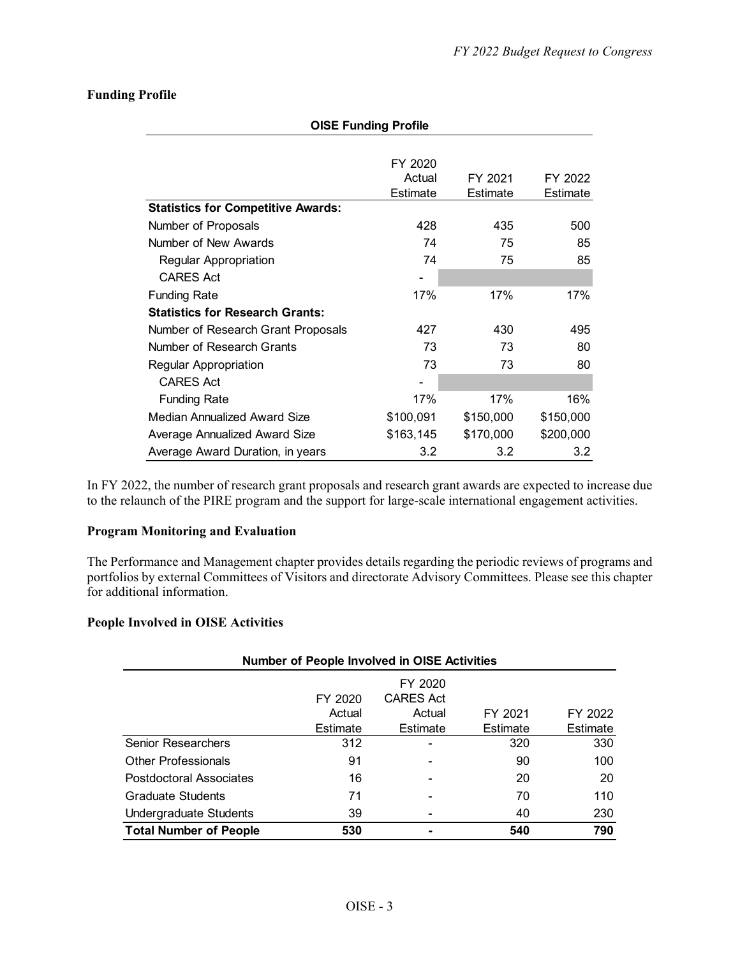## **Funding Profile**

| <b>OISE Funding Profile</b>               |           |           |           |  |  |  |  |
|-------------------------------------------|-----------|-----------|-----------|--|--|--|--|
|                                           |           |           |           |  |  |  |  |
|                                           | FY 2020   |           |           |  |  |  |  |
|                                           | Actual    | FY 2021   | FY 2022   |  |  |  |  |
|                                           | Estimate  | Estimate  | Estimate  |  |  |  |  |
| <b>Statistics for Competitive Awards:</b> |           |           |           |  |  |  |  |
| Number of Proposals                       | 428       | 435       | 500       |  |  |  |  |
| Number of New Awards                      | 74        | 75        | 85        |  |  |  |  |
| <b>Regular Appropriation</b>              | 74        | 75        | 85        |  |  |  |  |
| <b>CARES Act</b>                          |           |           |           |  |  |  |  |
| <b>Funding Rate</b>                       | 17%       | 17%       | 17%       |  |  |  |  |
| <b>Statistics for Research Grants:</b>    |           |           |           |  |  |  |  |
| Number of Research Grant Proposals        | 427       | 430       | 495       |  |  |  |  |
| Number of Research Grants                 | 73        | 73        | 80        |  |  |  |  |
| Regular Appropriation                     | 73        | 73        | 80        |  |  |  |  |
| <b>CARES Act</b>                          |           |           |           |  |  |  |  |
| <b>Funding Rate</b>                       | 17%       | 17%       | 16%       |  |  |  |  |
| Median Annualized Award Size              | \$100,091 | \$150,000 | \$150,000 |  |  |  |  |
| Average Annualized Award Size             | \$163,145 | \$170,000 | \$200,000 |  |  |  |  |
| Average Award Duration, in years          | 3.2       | 3.2       | 3.2       |  |  |  |  |

In FY 2022, the number of research grant proposals and research grant awards are expected to increase due to the relaunch of the PIRE program and the support for large-scale international engagement activities.

## **Program Monitoring and Evaluation**

The Performance and Management chapter provides details regarding the periodic reviews of programs and portfolios by external Committees of Visitors and directorate Advisory Committees. Please see this chapter for additional information.

## **People Involved in OISE Activities**

| <b>Number of People Involved in OISE Activities</b> |                               |                                                   |                     |                     |  |  |  |
|-----------------------------------------------------|-------------------------------|---------------------------------------------------|---------------------|---------------------|--|--|--|
|                                                     | FY 2020<br>Actual<br>Estimate | FY 2020<br><b>CARES Act</b><br>Actual<br>Estimate | FY 2021<br>Estimate | FY 2022<br>Estimate |  |  |  |
| <b>Senior Researchers</b>                           | 312                           | -                                                 | 320                 | 330                 |  |  |  |
| <b>Other Professionals</b>                          | 91                            | -                                                 | 90                  | 100                 |  |  |  |
| Postdoctoral Associates                             | 16                            | ۰                                                 | 20                  | 20                  |  |  |  |
| <b>Graduate Students</b>                            | 71                            | -                                                 | 70                  | 110                 |  |  |  |
| <b>Undergraduate Students</b>                       | 39                            |                                                   | 40                  | 230                 |  |  |  |
| <b>Total Number of People</b>                       | 530                           | ۰                                                 | 540                 | 790                 |  |  |  |